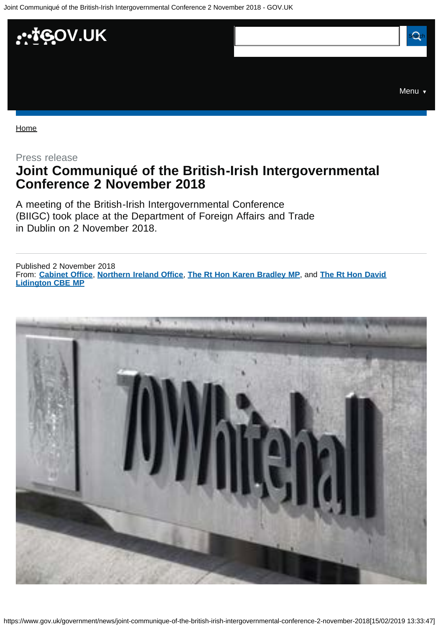<span id="page-0-0"></span>

[Home](https://www.gov.uk/)

Press release

# **Joint Communiqué of the British-Irish Intergovernmental Conference 2 November 2018**

A meeting of the British-Irish Intergovernmental Conference (BIIGC) took place at the Department of Foreign Affairs and Trade in Dublin on 2 November 2018.

From: **[Cabinet Office](https://www.gov.uk/government/organisations/cabinet-office)**, **[Northern Ireland Office](https://www.gov.uk/government/organisations/northern-ireland-office)**, **[The Rt Hon Karen Bradley MP](https://www.gov.uk/government/people/karen-bradley)**, and **[The Rt Hon David](https://www.gov.uk/government/people/david-lidington)** Published 2 November 2018 **[Lidington CBE MP](https://www.gov.uk/government/people/david-lidington)**

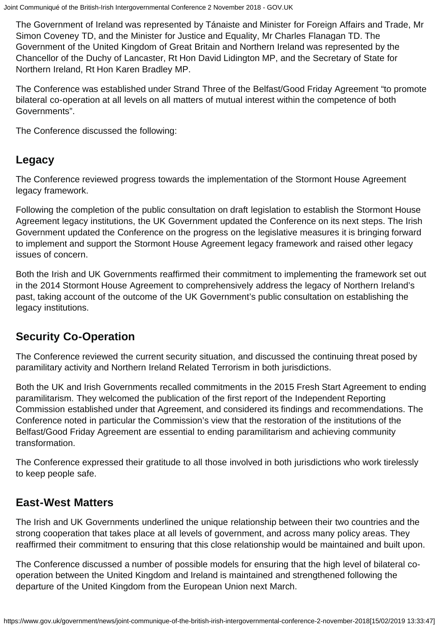The Government of Ireland was represented by Tánaiste and Minister for Foreign Affairs and Trade, Mr Simon Coveney TD, and the Minister for Justice and Equality, Mr Charles Flanagan TD. The Government of the United Kingdom of Great Britain and Northern Ireland was represented by the Chancellor of the Duchy of Lancaster, Rt Hon David Lidington MP, and the Secretary of State for Northern Ireland, Rt Hon Karen Bradley MP.

The Conference was established under Strand Three of the Belfast/Good Friday Agreement "to promote bilateral co-operation at all levels on all matters of mutual interest within the competence of both Governments".

The Conference discussed the following:

### **Legacy**

The Conference reviewed progress towards the implementation of the Stormont House Agreement legacy framework.

Following the completion of the public consultation on draft legislation to establish the Stormont House Agreement legacy institutions, the UK Government updated the Conference on its next steps. The Irish Government updated the Conference on the progress on the legislative measures it is bringing forward to implement and support the Stormont House Agreement legacy framework and raised other legacy issues of concern.

Both the Irish and UK Governments reaffirmed their commitment to implementing the framework set out in the 2014 Stormont House Agreement to comprehensively address the legacy of Northern Ireland's past, taking account of the outcome of the UK Government's public consultation on establishing the legacy institutions.

## **Security Co-Operation**

The Conference reviewed the current security situation, and discussed the continuing threat posed by paramilitary activity and Northern Ireland Related Terrorism in both jurisdictions.

Both the UK and Irish Governments recalled commitments in the 2015 Fresh Start Agreement to ending paramilitarism. They welcomed the publication of the first report of the Independent Reporting Commission established under that Agreement, and considered its findings and recommendations. The Conference noted in particular the Commission's view that the restoration of the institutions of the Belfast/Good Friday Agreement are essential to ending paramilitarism and achieving community transformation.

The Conference expressed their gratitude to all those involved in both jurisdictions who work tirelessly to keep people safe.

### **East-West Matters**

The Irish and UK Governments underlined the unique relationship between their two countries and the strong cooperation that takes place at all levels of government, and across many policy areas. They reaffirmed their commitment to ensuring that this close relationship would be maintained and built upon.

The Conference discussed a number of possible models for ensuring that the high level of bilateral cooperation between the United Kingdom and Ireland is maintained and strengthened following the departure of the United Kingdom from the European Union next March.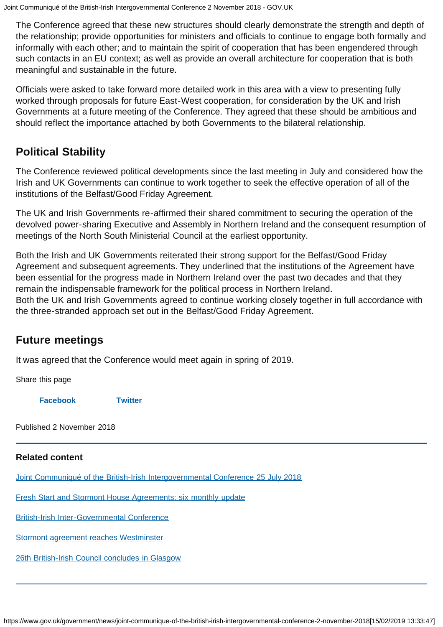The Conference agreed that these new structures should clearly demonstrate the strength and depth of the relationship; provide opportunities for ministers and officials to continue to engage both formally and informally with each other; and to maintain the spirit of cooperation that has been engendered through such contacts in an EU context; as well as provide an overall architecture for cooperation that is both meaningful and sustainable in the future.

Officials were asked to take forward more detailed work in this area with a view to presenting fully worked through proposals for future East-West cooperation, for consideration by the UK and Irish Governments at a future meeting of the Conference. They agreed that these should be ambitious and should reflect the importance attached by both Governments to the bilateral relationship.

## **Political Stability**

The Conference reviewed political developments since the last meeting in July and considered how the Irish and UK Governments can continue to work together to seek the effective operation of all of the institutions of the Belfast/Good Friday Agreement.

The UK and Irish Governments re-affirmed their shared commitment to securing the operation of the devolved power-sharing Executive and Assembly in Northern Ireland and the consequent resumption of meetings of the North South Ministerial Council at the earliest opportunity.

Both the Irish and UK Governments reiterated their strong support for the Belfast/Good Friday Agreement and subsequent agreements. They underlined that the institutions of the Agreement have been essential for the progress made in Northern Ireland over the past two decades and that they remain the indispensable framework for the political process in Northern Ireland. Both the UK and Irish Governments agreed to continue working closely together in full accordance with the three-stranded approach set out in the Belfast/Good Friday Agreement.

### **Future meetings**

It was agreed that the Conference would meet again in spring of 2019.

Share this page

**[Facebook](https://www.facebook.com/sharer/sharer.php?u=https%3A%2F%2Fwww.gov.uk%2Fgovernment%2Fnews%2Fjoint-communique-of-the-british-irish-intergovernmental-conference-2-november-2018) [Twitter](https://twitter.com/share?url=https%3A%2F%2Fwww.gov.uk%2Fgovernment%2Fnews%2Fjoint-communique-of-the-british-irish-intergovernmental-conference-2-november-2018&text=Joint%20Communiqu%C3%A9%20of%20the%20British-Irish%20Intergovernmental%20Conference%202%20November%202018)**

Published 2 November 2018

### **Related content**

[Joint Communiqué of the British-Irish Intergovernmental Conference 25 July 2018](https://www.gov.uk/government/news/joint-communique-of-the-british-irish-intergovernmental-conference-25-july-2018)

[Fresh Start and Stormont House Agreements: six monthly update](https://www.gov.uk/government/publications/fresh-start-and-stormont-house-agreements-six-monthly-update)

[British-Irish Inter-Governmental Conference](https://www.gov.uk/government/news/british-irish-inter-governmental-conference)

[Stormont agreement reaches Westminster](https://www.gov.uk/government/news/stormont-agreement-reaches-westminster)

[26th British-Irish Council concludes in Glasgow](https://www.gov.uk/government/news/26th-british-irish-council-concludes-in-glasgow)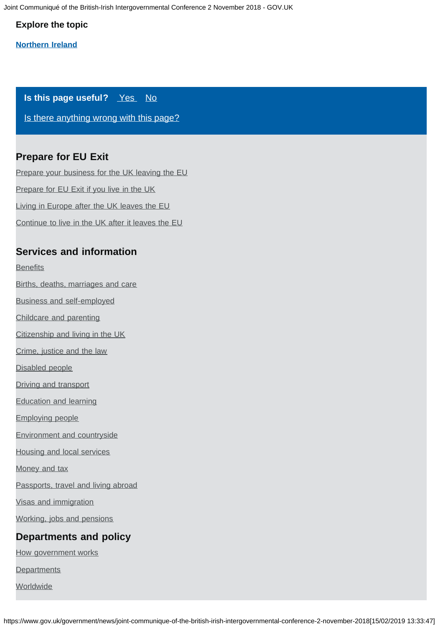Joint Communiqué of the British-Irish Intergovernmental Conference 2 November 2018 - GOV.UK

#### **Explore the topic**

#### **[Northern Ireland](https://www.gov.uk/regional-and-local-government/northern-ireland)**

#### **Is this page useful?** [Yes No](https://www.gov.uk/contact/govuk)

[Is there anything wrong with this page?](https://www.gov.uk/contact/govuk)

### **Prepare for EU Exit**

[Prepare your business for the UK leaving the EU](https://www.gov.uk/business-uk-leaving-eu) [Prepare for EU Exit if you live in the UK](https://www.gov.uk/prepare-eu-exit) [Living in Europe after the UK leaves the EU](https://www.gov.uk/uk-nationals-living-eu) [Continue to live in the UK after it leaves the EU](https://www.gov.uk/staying-uk-eu-citizen)

### **Services and information**

**[Benefits](https://www.gov.uk/browse/benefits)** 

- [Births, deaths, marriages and care](https://www.gov.uk/browse/births-deaths-marriages)
- [Business and self-employed](https://www.gov.uk/browse/business)
- [Childcare and parenting](https://www.gov.uk/browse/childcare-parenting)
- [Citizenship and living in the UK](https://www.gov.uk/browse/citizenship)
- [Crime, justice and the law](https://www.gov.uk/browse/justice)
- [Disabled people](https://www.gov.uk/browse/disabilities)
- [Driving and transport](https://www.gov.uk/browse/driving)
- [Education and learning](https://www.gov.uk/browse/education)
- [Employing people](https://www.gov.uk/browse/employing-people)
- [Environment and countryside](https://www.gov.uk/browse/environment-countryside)
- [Housing and local services](https://www.gov.uk/browse/housing-local-services)

[Money and tax](https://www.gov.uk/browse/tax)

- [Passports, travel and living abroad](https://www.gov.uk/browse/abroad)
- [Visas and immigration](https://www.gov.uk/browse/visas-immigration)
- [Working, jobs and pensions](https://www.gov.uk/browse/working)

### **Departments and policy**

[How government works](https://www.gov.uk/government/how-government-works)

**[Departments](https://www.gov.uk/government/organisations)** 

**[Worldwide](https://www.gov.uk/world)**